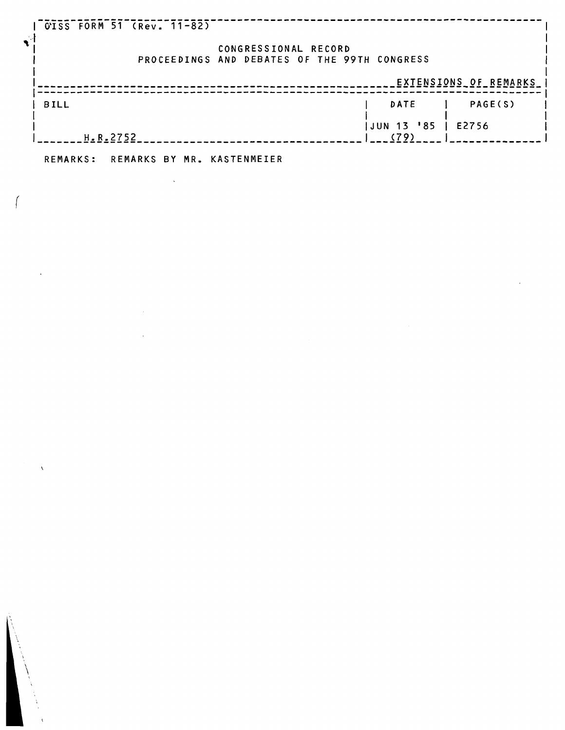| CISS FORM 51 (Rev. 11-82) |                                                                      |         |
|---------------------------|----------------------------------------------------------------------|---------|
|                           | CONGRESSIONAL RECORD<br>PROCEEDINGS AND DEBATES OF THE 99TH CONGRESS |         |
| EXTENSIONS OF REMARKS     |                                                                      |         |
| <b>BILL</b>               | <b>DATE</b>                                                          | PAGE(S) |
| H.R.2752                  | JUN 13 '85<br>(79)                                                   | E2756   |

**REMARKS: REMARKS BY MR. KASTENMEIER** 

 $\mathcal{L}^{\text{max}}_{\text{max}}$  and  $\mathcal{L}^{\text{max}}_{\text{max}}$ 

 $\mathcal{L}_{\text{max}}$ 

 $\tilde{L}$ 

 $\int$ 

 $\ddot{\phantom{a}}$ 

 $\langle \hat{A} \rangle$